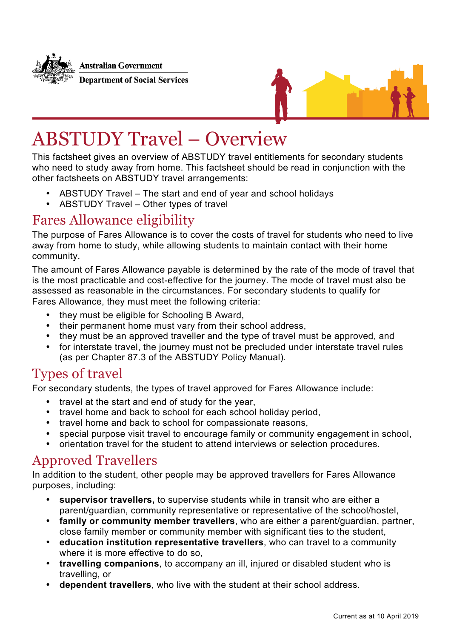**Australian Government Department of Social Services** 



# ABSTUDY Travel – Overview

This factsheet gives an overview of ABSTUDY travel entitlements for secondary students who need to study away from home. This factsheet should be read in conjunction with the other factsheets on ABSTUDY travel arrangements:

- ABSTUDY Travel The start and end of year and school holidays
- ABSTUDY Travel Other types of travel

#### Fares Allowance eligibility

The purpose of Fares Allowance is to cover the costs of travel for students who need to live away from home to study, while allowing students to maintain contact with their home community.

The amount of Fares Allowance payable is determined by the rate of the mode of travel that is the most practicable and cost-effective for the journey. The mode of travel must also be assessed as reasonable in the circumstances. For secondary students to qualify for Fares Allowance, they must meet the following criteria:

- they must be eligible for Schooling B Award,
- their permanent home must vary from their school address,
- they must be an approved traveller and the type of travel must be approved, and
- for interstate travel, the journey must not be precluded under interstate travel rules (as per Chapter 87.3 of the ABSTUDY Policy Manual).

### Types of travel

For secondary students, the types of travel approved for Fares Allowance include:

- travel at the start and end of study for the year,
- travel home and back to school for each school holiday period,
- travel home and back to school for compassionate reasons,
- special purpose visit travel to encourage family or community engagement in school,
- orientation travel for the student to attend interviews or selection procedures.

### Approved Travellers

In addition to the student, other people may be approved travellers for Fares Allowance purposes, including:

- **supervisor travellers,** to supervise students while in transit who are either a parent/guardian, community representative or representative of the school/hostel,
- **family or community member travellers**, who are either a parent/guardian, partner, close family member or community member with significant ties to the student,
- **education institution representative travellers**, who can travel to a community where it is more effective to do so.
- **travelling companions**, to accompany an ill, injured or disabled student who is travelling, or
- **dependent travellers**, who live with the student at their school address.